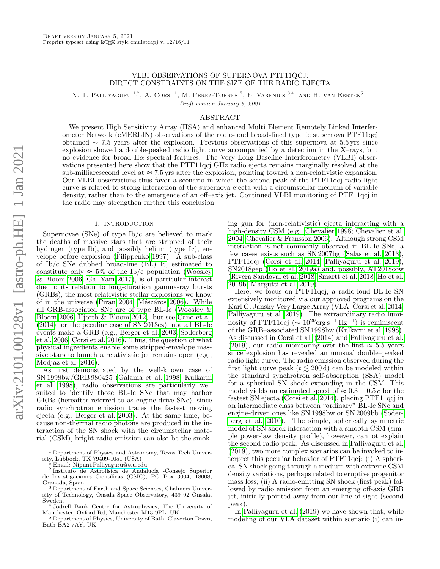# VLBI OBSERVATIONS OF SUPERNOVA PTF11QCJ: DIRECT CONSTRAINTS ON THE SIZE OF THE RADIO EJECTA

N. T. PALLIYAGURU <sup>1,\*</sup>, A. CORSI <sup>1</sup>, M. PÉREZ-TORRES <sup>2</sup>, E. VARENIUS <sup>3,4</sup>, AND H. VAN EERTEN<sup>5</sup>

Draft version January 5, 2021

## ABSTRACT

We present High Sensitivity Array (HSA) and enhanced Multi Element Remotely Linked Interferometer Network (eMERLIN) observations of the radio-loud broad-lined type Ic supernova PTF11qcj obtained ∼ 7.5 years after the explosion. Previous observations of this supernova at 5.5 yrs since explosion showed a double-peaked radio light curve accompanied by a detection in the X–rays, but no evidence for broad Hα spectral features. The Very Long Baseline Interferometry (VLBI) observations presented here show that the PTF11qcj GHz radio ejecta remains marginally resolved at the sub-milliarcsecond level at  $\approx 7.5$  yrs after the explosion, pointing toward a non-relativistic expansion. Our VLBI observations thus favor a scenario in which the second peak of the PTF11qcj radio light curve is related to strong interaction of the supernova ejecta with a circumstellar medium of variable density, rather than to the emergence of an off–axis jet. Continued VLBI monitoring of PTF11qcj in the radio may strengthen further this conclusion.

### 1. INTRODUCTION

Supernovae (SNe) of type Ib/c are believed to mark the deaths of massive stars that are stripped of their hydrogen (type Ib), and possibly helium (type Ic), envelope before explosion [\(Filippenko 1997\)](#page-7-0). A sub-class of Ib/c SNe dubbed broad-line (BL) Ic, estimated to constitute only  $\approx 5\%$  of the Ib/c population [\(Woosley](#page-7-1) [& Bloom 2006;](#page-7-1) [Gal-Yam 2017\)](#page-7-2), is of particular interest due to its relation to long-duration gamma-ray bursts (GRBs), the most relativistic stellar explosions we know of in the universe [\(Piran 2004;](#page-7-3) Mészáros 2006). While all GRB-associated SNe are of type BL-Ic [\(Woosley &](#page-7-1) [Bloom 2006;](#page-7-1) [Hjorth & Bloom 2012,](#page-7-5) but see [Cano et al.](#page-6-0) [\(2014\)](#page-6-0) for the peculiar case of SN 2013ez), not all BL-Ic events make a GRB (e.g., [Berger et al. 2003;](#page-6-1) [Soderberg](#page-7-6) [et al. 2006;](#page-7-6) [Corsi et al. 2016\)](#page-7-7). Thus, the question of what physical ingredients enable some stripped-envelope massive stars to launch a relativistic jet remains open (e.g., [Modjaz et al. 2016\)](#page-7-8).

As first demonstrated by the well-known case of SN 1998bw/GRB 980425 [\(Galama et al. 1998;](#page-7-9) [Kulkarni](#page-7-10) [et al. 1998\)](#page-7-10), radio observations are particularly well suited to identify those BL-Ic SNe that may harbor GRBs (hereafter referred to as engine-drive SNe), since radio synchrotron emission traces the fastest moving ejecta (e.g., [Berger et al. 2003\)](#page-6-1). At the same time, because non-thermal radio photons are produced in the interaction of the SN shock with the circumstellar material (CSM), bright radio emission can also be the smok-

? Email: [Nipuni.Palliyaguru@ttu.edu](mailto:Nipuni.Palliyaguru@ttu.edu)

<sup>2</sup> Instituto de Astrofísica de Andalucía -Consejo Superior de Investigaciones Cient´ıficas (CSIC), PO Box 3004, 18008, Granada, Spain.

<sup>3</sup> Department of Earth and Space Sciences, Chalmers University of Technology, Onsala Space Observatory, 439 92 Onsala, Sweden. <sup>4</sup> Jodrell Bank Centre for Astrophysics, The University of

Bath BA2 7AY, UK

ing gun for (non-relativistic) ejecta interacting with a high-density CSM (e.g., [Chevalier 1998;](#page-6-2) [Chevalier et al.](#page-7-11) [2004;](#page-7-11) [Chevalier & Fransson 2006\)](#page-6-3). Although strong CSM interaction is not commonly observed in BL-Ic SNe, a few cases exists such as SN 2007bg [\(Salas et al. 2013\)](#page-7-12), PTF11qcj [\(Corsi et al. 2014;](#page-7-13) [Palliyaguru et al. 2019\)](#page-7-14), SN2018gep [\(Ho et al. 2019a\)](#page-7-15) and, possibly, AT2018cow [\(Rivera Sandoval et al. 2018;](#page-7-16) [Smartt et al. 2018;](#page-7-17) [Ho et al.](#page-7-18) [2019b;](#page-7-18) [Margutti et al. 2019\)](#page-7-19).

Here, we focus on PTF11qcj, a radio-loud BL-Ic SN extensively monitored via our approved programs on the Karl G. Jansky Very Large Array (VLA; [Corsi et al. 2014;](#page-7-13) [Palliyaguru et al. 2019\)](#page-7-14). The extraordinary radio luminosity of PTF11qcj ( $\sim 10^{29} \text{erg s}^{-1} \text{Hz}^{-1}$ ) is reminiscent of the GRB–associated SN 1998bw [\(Kulkarni et al. 1998\)](#page-7-10). As discussed in [Corsi et al.](#page-7-13) [\(2014\)](#page-7-13) and [Palliyaguru et al.](#page-7-14) [\(2019\)](#page-7-14), our radio monitoring over the first  $\approx 5.5$  years since explosion has revealed an unusual double–peaked radio light curve. The radio emission observed during the first light curve peak  $(t \leq 200 d)$  can be modeled within the standard synchrotron self-absorption (SSA) model for a spherical SN shock expanding in the CSM. This model yields an estimated speed of  $\approx 0.3 - 0.5 c$  for the fastest SN ejecta [\(Corsi et al. 2014\)](#page-7-13), placing PTF11qcj in an intermediate class between "ordinary" BL-Ic SNe and engine-driven ones like SN 1998bw or SN 2009bb [\(Soder](#page-7-20)[berg et al. 2010\)](#page-7-20). The simple, spherically symmetric model of SN shock interaction with a smooth CSM (simple power-law density profile), however, cannot explain the second radio peak. As discussed in [Palliyaguru et al.](#page-7-14) [\(2019\)](#page-7-14), two more complex scenarios can be invoked to interpret this peculiar behavior of PTF11qcj: (i) A spherical SN shock going through a medium with extreme CSM density variations, perhaps related to eruptive progenitor mass loss; (ii) A radio-emitting SN shock (first peak) followed by radio emission from an emerging off-axis GRB jet, initially pointed away from our line of sight (second peak).

In [Palliyaguru et al.](#page-7-14) [\(2019\)](#page-7-14) we have shown that, while modeling of our VLA dataset within scenario (i) can in-

<sup>1</sup> Department of Physics and Astronomy, Texas Tech University, Lubbock, TX 79409-1051 (USA)

Manchester, Oxford Rd, Manchester M13 9PL, UK. <sup>5</sup> Department of Physics, University of Bath, Claverton Down,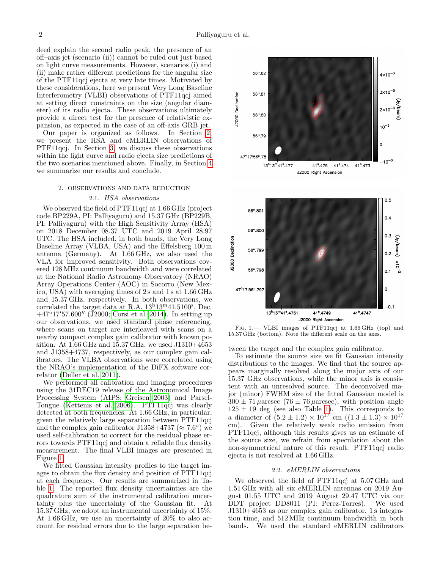deed explain the second radio peak, the presence of an off–axis jet (scenario (ii)) cannot be ruled out just based on light curve measurements. However, scenarios (i) and (ii) make rather different predictions for the angular size of the PTF11qcj ejecta at very late times. Motivated by these considerations, here we present Very Long Baseline Interferometry (VLBI) observations of PTF11qcj aimed at setting direct constraints on the size (angular diameter) of its radio ejecta. These observations ultimately provide a direct test for the presence of relativistic expansion, as expected in the case of an off-axis GRB jet.

Our paper is organized as follows. In Section [2,](#page-1-0) we present the HSA and eMERLIN observations of PTF11qcj. In Section [3,](#page-2-0) we discuss these observations within the light curve and radio ejecta size predictions of the two scenarios mentioned above. Finally, in Section [4](#page-6-4) we summarize our results and conclude.

### <span id="page-1-0"></span>2. OBSERVATIONS AND DATA REDUCTION

## 2.1. HSA observations

<span id="page-1-2"></span>We observed the field of PTF11qcj at 1.66 GHz (project code BP229A, PI: Palliyaguru) and 15.37 GHz (BP229B, PI: Palliyaguru) with the High Sensitivity Array (HSA) on 2018 December 08.37 UTC and 2019 April 28.97 UTC. The HSA included, in both bands, the Very Long Baseline Array (VLBA, USA) and the Effelsberg 100 m antenna (Germany). At 1.66 GHz, we also used the VLA for improved sensitivity. Both observations covered 128 MHz continuum bandwidth and were correlated at the National Radio Astronomy Observatory (NRAO) Array Operations Center (AOC) in Socorro (New Mexico, USA) with averaging times of 2 s and 1 s at 1.66 GHz and 15.37 GHz, respectively. In both observations, we correlated the target data at R.A.  $13^{\text{h}}13^{\text{m}}41.5100^{\text{s}}$ , Dec.  $+47^{\circ}17'57.600''$  (J2000; [Corsi et al. 2014\)](#page-7-13). In setting up our observations, we used standard phase referencing, where scans on target are interleaved with scans on a nearby compact complex gain calibrator with known position. At 1.66 GHz and 15.37 GHz, we used J1310+4653 and J1358+4737, respectively, as our complex gain calibrators. The VLBA observations were correlated using the NRAO's implementation of the DiFX software correlator [\(Deller et al. 2011\)](#page-7-21).

We performed all calibration and imaging procedures using the 31DEC19 release of the Astronomical Image Processing System (AIPS; [Greisen 2003\)](#page-7-22) and Parsel-Tongue [\(Kettenis et al. 2006\)](#page-7-23). PTF11qcj was clearly detected at both frequencies. At 1.66 GHz, in particular, given the relatively large separation between PTF11qcj and the complex gain calibrator J1358+4737 ( $\approx 7.6^{\circ}$ ) we used self-calibration to correct for the residual phase errors towards PTF11qcj and obtain a reliable flux density measurement. The final VLBI images are presented in Figure [1.](#page-1-1)

We fitted Gaussian intensity profiles to the target images to obtain the flux density and position of PTF11qcj at each frequency. Our results are summarized in Table [1.](#page-2-1) The reported flux density uncertainties are the quadrature sum of the instrumental calibration uncertainty plus the uncertainty of the Gaussian fit. At 15.37 GHz, we adopt an instrumental uncertainty of 15%. At 1.66 GHz, we use an uncertainty of 20% to also account for residual errors due to the large separation be-



<span id="page-1-1"></span>Fig. 1.— VLBI images of PTF11qcj at 1.66 GHz (top) and 15.37 GHz (bottom). Note the different scale on the axes.

tween the target and the complex gain calibrator.

To estimate the source size we fit Gaussian intensity distributions to the images. We find that the source appears marginally resolved along the major axis of our 15.37 GHz observations, while the minor axis is consistent with an unresolved source. The deconvolved major (minor) FWHM size of the fitted Gaussian model is  $300 \pm 71 \mu$ arcsec (76  $\pm$  76  $\mu$ arcsec), with position angle  $125 \pm 19'$  deg (see also Table [1\)](#page-2-1). This corresponds to a diameter of  $(5.2 \pm 1.2) \times 10^{17}$  cm  $((1.3 \pm 1.3) \times 10^{17})$ cm). Given the relatively weak radio emission from PTF11qcj, although this results gives us an estimate of the source size, we refrain from speculation about the non-symmetrical nature of this result. PTF11qcj radio ejecta is not resolved at 1.66 GHz.

### 2.2. eMERLIN observations

<span id="page-1-3"></span>We observed the field of PTF11qcj at 5.07 GHz and 1.51 GHz with all six eMERLIN antennas on 2019 August 01.55 UTC and 2019 August 29.47 UTC via our DDT project DD8011 (PI: Perez-Torres). We used J1310+4653 as our complex gain calibrator, 1 s integration time, and 512 MHz continuum bandwidth in both bands. We used the standard eMERLIN calibrators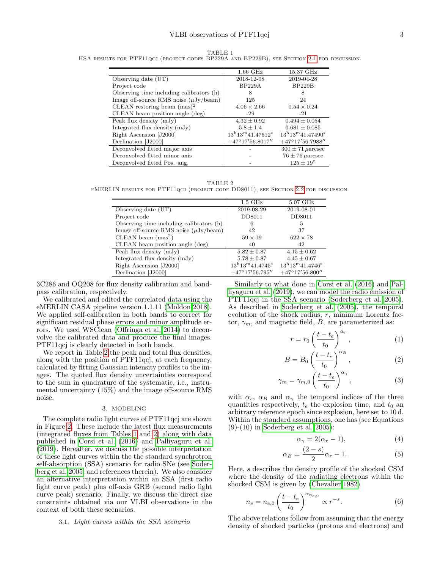<span id="page-2-1"></span>TABLE 1 HSA results for PTF11qcj (project codes BP229A and BP229B), see Section [2.1](#page-1-2) for discussion.

|                                            | $1.66$ GHz                             | 15.37 GHz                              |
|--------------------------------------------|----------------------------------------|----------------------------------------|
| Observing date (UT)                        | 2018-12-08                             | 2019-04-28                             |
| Project code                               | BP229A                                 | BP229B                                 |
| Observing time including calibrators (h)   | 8                                      | 8                                      |
| Image off-source RMS noise $(\mu Jy/beam)$ | 125                                    | 24                                     |
| CLEAN restoring beam $(mas)^2$             | $4.06 \times 2.66$                     | $0.54 \times 0.24$                     |
| CLEAN beam position angle (deg)            | $-29$                                  | $-21$                                  |
| Peak flux density $(mJy)$                  | $4.32 \pm 0.92$                        | $0.494 \pm 0.054$                      |
| Integrated flux density (mJy)              | $5.8 \pm 1.4$                          | $0.681 \pm 0.085$                      |
| Right Ascension [J2000]                    | $13^{\rm h}13^{\rm m}41.47512^{\rm s}$ | $13^{\rm h}13^{\rm m}41.47490^{\rm s}$ |
| Declination [J2000]                        | $+47^{\circ}17'56.8017''$              | $+47^{\circ}17'56.7988''$              |
| Deconvolved fitted major axis              |                                        | $300 \pm 71 \mu$ arcsec                |
| Deconvolved fitted minor axis              |                                        | $76 \pm 76 \mu$ arcsec                 |
| Deconvolved fitted Pos. ang.               |                                        | $125 \pm 19^{\circ}$                   |

<span id="page-2-2"></span>TABLE 2 eMERLIN results for PTF11qcj (project code DD8011), see Section [2.2](#page-1-3) for discussion.

|                                            | $1.5\text{ GHz}$                      | $5.07$ GHz                            |
|--------------------------------------------|---------------------------------------|---------------------------------------|
| Observing date $(UT)$                      | 2019-08-29                            | 2019-08-01                            |
| Project code                               | DD8011                                | DD8011                                |
| Observing time including calibrators (h)   | 6                                     | 5                                     |
| Image off-source RMS noise $(\mu Jy/beam)$ | 42                                    | 37                                    |
| CLEAN beam $(mas^2)$                       | $59 \times 19$                        | $622\times78$                         |
| CLEAN beam position angle (deg)            | 40                                    | 42                                    |
| Peak flux density $(mJy)$                  | $5.82 \pm 0.87$                       | $4.15 \pm 0.62$                       |
| Integrated flux density (mJy)              | $5.78 \pm 0.87$                       | $4.45 \pm 0.67$                       |
| Right Ascension [J2000]                    | $13^{\rm h}13^{\rm m}41.4745^{\rm s}$ | $13^{\rm h}13^{\rm m}41.4746^{\rm s}$ |
| Declination [J2000]                        | $+47^{\circ}17'56.795''$              | $+47^{\circ}17'56.800''$              |

3C286 and OQ208 for flux density calibration and bandpass calibration, respectively.

We calibrated and edited the correlated data using the eMERLIN CASA pipeline version 1.1.11 [\(Moldon 2018\)](#page-7-24). We applied self-calibration in both bands to correct for significant residual phase errors and minor amplitude errors. We used WSClean [\(Offringa et al. 2014\)](#page-7-25) to deconvolve the calibrated data and produce the final images. PTF11qcj is clearly detected in both bands.

We report in Table [2](#page-2-2) the peak and total flux densities, along with the position of PTF11qcj, at each frequency, calculated by fitting Gaussian intensity profiles to the images. The quoted flux density uncertainties correspond to the sum in quadrature of the systematic, i.e., instrumental uncertainty (15%) and the image off-source RMS noise.

# 3. MODELING

<span id="page-2-0"></span>The complete radio light curves of PTF11qcj are shown in Figure [2.](#page-3-0) These include the latest flux measurements (integrated fluxes from Tables [1](#page-2-1) and [2\)](#page-2-2) along with data published in [Corsi et al.](#page-7-7) [\(2016\)](#page-7-7) and [Palliyaguru et al.](#page-7-14) [\(2019\)](#page-7-14). Hereafter, we discuss the possible interpretation of these light curves within the the standard synchrotron self-absorption (SSA) scenario for radio SNe (see [Soder](#page-7-26)[berg et al. 2005,](#page-7-26) and references therein). We also consider an alternative interpretation within an SSA (first radio light curve peak) plus off-axis GRB (second radio light curve peak) scenario. Finally, we discuss the direct size constraints obtained via our VLBI observations in the context of both these scenarios.

## <span id="page-2-3"></span>3.1. Light curves within the SSA scenario

Similarly to what done in [Corsi et al.](#page-7-7) [\(2016\)](#page-7-7) and [Pal](#page-7-14)[liyaguru et al.](#page-7-14) [\(2019\)](#page-7-14), we can model the radio emission of PTF11qcj in the SSA scenario [\(Soderberg et al. 2005\)](#page-7-26). As described in [Soderberg et al.](#page-7-26) [\(2005\)](#page-7-26), the temporal evolution of the shock radius, r, minimum Lorentz factor,  $\gamma_m$ , and magnetic field, B, are parameterized as:

$$
r = r_0 \left(\frac{t - t_e}{t_0}\right)^{\alpha_r},\tag{1}
$$

$$
B = B_0 \left(\frac{t - t_e}{t_0}\right)^{\alpha_B},\tag{2}
$$

$$
\gamma_m = \gamma_{m,0} \left( \frac{t - t_e}{t_0} \right)^{\alpha_\gamma},\tag{3}
$$

with  $\alpha_r$ ,  $\alpha_B$  and  $\alpha_\gamma$  the temporal indices of the three quantities respectively,  $t_e$  the explosion time, and  $t_0$  an arbitrary reference epoch since explosion, here set to 10 d. Within the standard assumptions, one has (see Equations (9)-(10) in [Soderberg et al. 2005\)](#page-7-26):

$$
\alpha_{\gamma} = 2(\alpha_r - 1),\tag{4}
$$

$$
\alpha_B = \frac{(2-s)}{2}\alpha_r - 1.
$$
\n(5)

Here, s describes the density profile of the shocked CSM where the density of the radiating electrons within the shocked CSM is given by [\(Chevalier 1982\)](#page-6-5)

$$
n_e = n_{e,0} \left( \frac{t - t_e}{t_0} \right)^{\alpha_{n_{e,0}}} \propto r^{-s}.
$$
 (6)

The above relations follow from assuming that the energy density of shocked particles (protons and electrons) and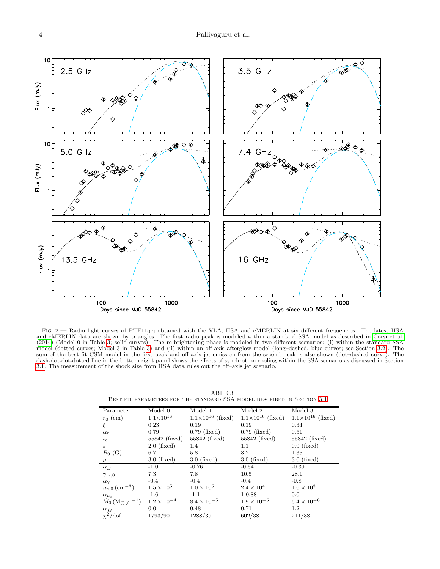

<span id="page-3-0"></span>FIG. 2.— Radio light curves of PTF11qcj obtained with the VLA, HSA and eMERLIN at six different frequencies. The latest HSA and eMERLIN data are shown by triangles. The first radio peak is modeled within a standard SSA model as described in [Corsi et al.](#page-7-13) [\(2014\)](#page-7-13) (Model 0 in Table [3;](#page-3-1) solid curves). The re-brightening phase is modeled in two different scenarios: (i) within the standard SSA model (dotted curves; Model 3 in Table [3\)](#page-3-1) and (ii) within an off-axis afterglow model (long–dashed, blue curves; see Section [3.2\)](#page-5-0). The sum of the best fit CSM model in the first peak and off-axis jet emission from the second peak is also shown (dot–dashed curve). The dash-dot-dot-dotted line in the bottom right panel shows the effects of synchrotron cooling within the SSA scenario as discussed in Section [3.1.](#page-2-3) The measurement of the shock size from HSA data rules out the off–axis jet scenario.

<span id="page-3-1"></span>

| Parameter                                      | Model 0              | Model 1                      | Model 2                      | Model 3                                                                                                                                                                                               |  |
|------------------------------------------------|----------------------|------------------------------|------------------------------|-------------------------------------------------------------------------------------------------------------------------------------------------------------------------------------------------------|--|
| $r_0$ (cm)                                     | $1.1 \times 10^{16}$ | $1.1 \times 10^{16}$ (fixed) | $1.1 \times 10^{16}$ (fixed) |                                                                                                                                                                                                       |  |
| ξ                                              | 0.23                 | 0.19                         | 0.19                         | $1.1 \times 10^{16}$ (fixed)<br>0.34<br>0.61<br>$55842$ (fixed)<br>$0.0$ (fixed)<br>1.35<br>$3.0$ (fixed)<br>$-0.39$<br>28.1<br>$-0.8$<br>$1.6 \times 10^3$<br>0.0<br>$6.4 \times 10^{-6}$<br>$1.2\,$ |  |
| $\alpha_r$                                     | 0.79                 | $0.79$ (fixed)               | $0.79$ (fixed)               |                                                                                                                                                                                                       |  |
| $t_e$                                          | $55842$ (fixed)      | $55842$ (fixed)              | $55842$ (fixed)              |                                                                                                                                                                                                       |  |
| $\boldsymbol{s}$                               | $2.0$ (fixed)        | 1.4                          | $1.1\,$                      |                                                                                                                                                                                                       |  |
| $B_0$ (G)                                      | 6.7                  | 5.8                          | 3.2                          |                                                                                                                                                                                                       |  |
| $p_{\parallel}$                                | $3.0$ (fixed)        | $3.0$ (fixed)                | $3.0$ (fixed)                |                                                                                                                                                                                                       |  |
| $\alpha_B$                                     | $-1.0$               | $-0.76$                      | $-0.64$                      |                                                                                                                                                                                                       |  |
| $\gamma_{m,0}$                                 | 7.3                  | 7.8                          | 10.5                         |                                                                                                                                                                                                       |  |
| $\alpha_{\gamma}$                              | $-0.4$               | $-0.4$                       | $-0.4$                       |                                                                                                                                                                                                       |  |
| $n_{e,0}$ (cm <sup>-3</sup> )                  | $1.5 \times 10^5$    | $1.0 \times 10^{5}$          | $2.4 \times 10^{4}$          |                                                                                                                                                                                                       |  |
| $\alpha_{n_e}$                                 | $-1.6$               | $-1.1$                       | $1 - 0.88$                   |                                                                                                                                                                                                       |  |
| $\dot{M}_0\,(\rm M_\odot\,yr^{-1})$            | $1.2 \times 10^{-4}$ | $8.4 \times 10^{-5}$         | $1.9 \times 10^{-5}$         |                                                                                                                                                                                                       |  |
|                                                | 0.0                  | 0.48                         | 0.71                         |                                                                                                                                                                                                       |  |
| $\frac{\alpha_{\dot{M}}}{\chi^2/\textrm{dof}}$ | 1793/90              | 1288/39                      | 602/38                       | 211/38                                                                                                                                                                                                |  |

TABLE 3 BEST FIT PARAMETERS FOR THE STANDARD SSA MODEL DESCRIBED IN SECTION [3.1.](#page-2-3)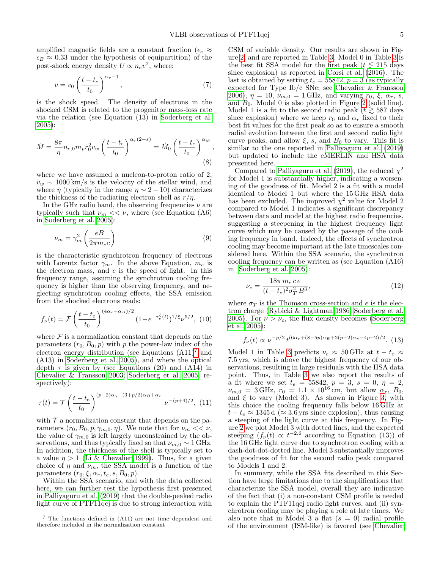amplified magnetic fields are a constant fraction ( $\epsilon_e$ ) $\approx$  $\epsilon_B \approx 0.33$  under the hypothesis of equipartition) of the post-shock energy density  $U \propto n_e v^2$ , where:

$$
v = v_0 \left(\frac{t - t_e}{t_0}\right)^{\alpha_r - 1},\tag{7}
$$

is the shock speed. The density of electrons in the shocked CSM is related to the progenitor mass-loss rate via the relation (see Equation (13) in [Soderberg et al.](#page-7-26) [2005\)](#page-7-26):

$$
\dot{M} = \frac{8\pi}{\eta} n_{e,0} m_p r_0^2 v_w \left(\frac{t - t_e}{t_0}\right)^{\alpha_r (2 - s)} = \dot{M}_0 \left(\frac{t - t_e}{t_0}\right)^{\alpha_{\dot{M}}},\tag{8}
$$

where we have assumed a nucleon-to-proton ratio of 2,  $v_w \sim 1000 \,\mathrm{km/s}$  is the velocity of the stellar wind, and where  $\eta$  (typically in the range  $\eta \sim 2 - 10$ ) characterizes the thickness of the radiating electron shell as  $r/\eta$ .

In the GHz radio band, the observing frequencies  $\nu$  are typically such that  $\nu_m \ll \nu$ , where (see Equation (A6) in [Soderberg et al. 2005\)](#page-7-26):

$$
\nu_m = \gamma_m^2 \left(\frac{eB}{2\pi m_e c}\right) \tag{9}
$$

is the characteristic synchrotron frequency of electrons with Lorentz factor  $\gamma_m$ . In the above Equation,  $m_e$  is the electron mass, and  $c$  is the speed of light. In this frequency range, assuming the synchrotron cooling frequency is higher than the observing frequency, and neglecting synchrotron cooling effects, the SSA emission from the shocked electrons reads:

$$
f_{\nu}(t) = \mathcal{F}\left(\frac{t - t_e}{t_0}\right)^{(4\alpha_r - \alpha_B)/2} (1 - e^{-\tau_{\nu}^{\xi}(t)})^{1/\xi} \nu^{5/2}, (10)
$$

where  $\mathcal F$  is a normalization constant that depends on the parameters  $(r_0, B_0, p)$  with p the power-law index of the electron energy distribution (see Equations  $(A11)<sup>7</sup>$  $(A11)<sup>7</sup>$  $(A11)<sup>7</sup>$  and (A13) in [Soderberg et al. 2005\)](#page-7-26), and where the optical depth  $\tau$  is given by (see Equations (20) and (A14) in [Chevalier & Fransson 2003;](#page-6-6) [Soderberg et al. 2005,](#page-7-26) respectively):

$$
\tau(t) = \mathcal{T}\left(\frac{t - t_e}{t_0}\right)^{(p-2)\alpha_\gamma + (3+p/2)\alpha_B + \alpha_r} \nu^{-(p+4)/2}, (11)
$$

with  $\mathcal T$  a normalization constant that depends on the parameters  $(r_0, B_0, p, \gamma_{m,0}, \eta)$ . We note that for  $\nu_m << \nu$ , the value of  $\gamma_{m,0}$  is left largely unconstrained by the observations, and thus typically fixed so that  $\nu_{m,0} \sim 1 \text{ GHz}.$ In addition, the thickness of the shell is typically set to a value  $\eta > 1$  [\(Li & Chevalier 1999\)](#page-7-27). Thus, for a given choice of  $\eta$  and  $\nu_m$ , the SSA model is a function of the parameters  $(r_0, \xi, \alpha_r, t_e, s, B_0, p)$ .

Within the SSA scenario, and with the data collected here, we can further test the hypothesis first presented in [Palliyaguru et al.](#page-7-14) [\(2019\)](#page-7-14) that the double-peaked radio light curve of PTF11qcj is due to strong interaction with

CSM of variable density. Our results are shown in Figure [2,](#page-3-0) and are reported in Table [3.](#page-3-1) Model 0 in Table [3](#page-3-1) is the best fit SSA model for the first peak ( $t \le 215$  days since explosion) as reported in [Corsi et al.](#page-7-7) [\(2016\)](#page-7-7). The last is obtained by setting  $t_e = 55842$ ,  $p = 3$  (as typically expected for Type Ib/c SNe; see [Chevalier & Fransson](#page-6-3) [2006\)](#page-6-3),  $\eta = 10$ ,  $\nu_{m,0} = 1$  GHz, and varying  $r_0$ ,  $\xi$ ,  $\alpha_r$ ,  $s$ , and  $B_0$ . Model 0 is also plotted in Figure [2](#page-3-0) (solid line). Model 1 is a fit to the second radio peak ( $t \gtrsim 587$  days since explosion) where we keep  $r_0$  and  $\alpha_r$  fixed to their best fit values for the first peak so as to ensure a smooth radial evolution between the first and second radio light curve peaks, and allow  $\xi$ , s, and  $B_0$  to vary. This fit is similar to the one reported in [Palliyaguru et al.](#page-7-14) [\(2019\)](#page-7-14) but updated to include the eMERLIN and HSA data presented here.

Compared to [Palliyaguru et al.](#page-7-14) [\(2019\)](#page-7-14), the reduced  $\chi^2$ for Model 1 is substantially higher, indicating a worsening of the goodness of fit. Model 2 is a fit with a model identical to Model 1 but where the 15 GHz HSA data has been excluded. The improved  $\chi^2$  value for Model 2 compared to Model 1 indicates a significant discrepancy between data and model at the highest radio frequencies, suggesting a steepening in the highest frequency light curve which may be caused by the passage of the cooling frequency in band. Indeed, the effects of synchrotron cooling may become important at the late timescales considered here. Within the SSA scenario, the synchrotron cooling frequency can be written as (see Equation (A16) in [Soderberg et al. 2005\)](#page-7-26):

$$
\nu_c = \frac{18\pi \, m_e \, c \, e}{(t - t_e)^2 \sigma_T^2 \, B^3},\tag{12}
$$

where  $\sigma_T$  is the Thomson cross-section and e is the electron charge [\(Rybicki & Lightman 1986;](#page-7-28) [Soderberg et al.](#page-7-26) [2005\)](#page-7-26). For  $\nu > \nu_c$ , the flux density becomes [\(Soderberg](#page-7-26) [et al. 2005\)](#page-7-26):

$$
f_{\nu}(t) \propto \nu^{-p/2} t^{(6\alpha_r + (8-5p)\alpha_B + 2(p-2)\alpha_\gamma - 4p + 2)/2}
$$
. (13)

Model 1 in Table [3](#page-3-1) predicts  $\nu_c \approx 50 \text{ GHz at } t - t_e \approx$ 7.5 yrs, which is above the highest frequency of our observations, resulting in large residuals with the HSA data point. Thus, in Table [3](#page-3-1) we also report the results of a fit where we set  $t_e = 55842$ ,  $p = 3$ ,  $s = 0$ ,  $\eta = 2$ ,  $\nu_{m,0} = 3 \text{ GHz}, r_0 = 1.1 \times 10^{16} \text{ cm}, \text{ but allow } \alpha_r, B_0,$ and  $\xi$  to vary (Model 3). As shown in Figure [3,](#page-5-1) with this choice the cooling frequency falls below 16 GHz at  $t - t_e \approx 1345 d \approx 3.6 \text{ yrs}$  since explosion), thus causing a steeping of the light curve at this frequency. In Figure [2](#page-3-0) we plot Model 3 with dotted lines, and the expected steeping  $(f_{\nu}(t) \propto t^{-2.6}$  according to Equation (13)) of the 16 GHz light curve due to synchrotron cooling with a dash-dot-dot-dotted line. Model 3 substantially improves the goodness of fit for the second radio peak compared to Models 1 and 2.

In summary, while the SSA fits described in this Section have large limitations due to the simplifications that characterize the SSA model, overall they are indicative of the fact that (i) a non-constant CSM profile is needed to explain the PTF11qcj radio light curves, and (ii) synchrotron cooling may be playing a role at late times. We also note that in Model 3 a flat  $(s = 0)$  radial profile of the environment (ISM-like) is favored (see [Chevalier](#page-6-5)

<span id="page-4-0"></span><sup>7</sup> The functions defined in (A11) are not time–dependent and therefore included in the normalization constant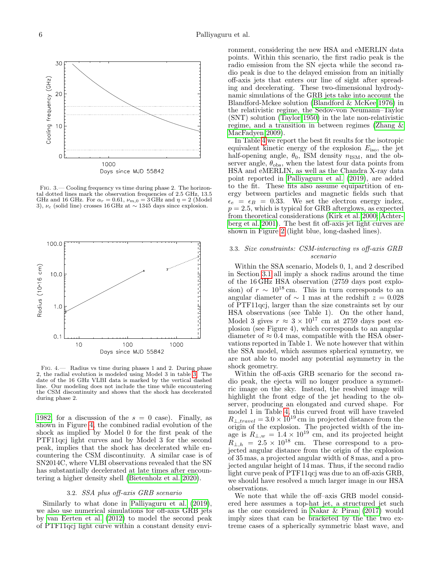

<span id="page-5-1"></span>Fig. 3.— Cooling frequency vs time during phase 2. The horizontal dotted lines mark the observation frequencies of 2.5 GHz, 13.5 GHz and 16 GHz. For  $\alpha_r = 0.61$ ,  $\nu_{m,0} = 3$  GHz and  $\eta = 2$  (Model 3),  $\nu_c$  (solid line) crosses 16 GHz at  $\sim$  1345 days since explosion.



<span id="page-5-2"></span>Fig. 4.— Radius vs time during phases 1 and 2. During phase 2, the radial evolution is modeled using Model 3 in table [3.](#page-3-1) The date of the 16 GHz VLBI data is marked by the vertical dashed line. Our modeling does not include the time while encountering the CSM discontinuity and shows that the shock has decelerated during phase 2.

[1982,](#page-6-5) for a discussion of the  $s = 0$  case). Finally, as shown in Figure [4,](#page-5-2) the combined radial evolution of the shock as implied by Model 0 for the first peak of the PTF11qcj light curves and by Model 3 for the second peak, implies that the shock has decelerated while encountering the CSM discontinuity. A similar case is of SN2014C, where VLBI observations revealed that the SN has substantially decelerated at late times after encountering a higher density shell [\(Bietenholz et al. 2020\)](#page-6-7).

## 3.2. SSA plus off-axis GRB scenario

<span id="page-5-0"></span>Similarly to what done in [Palliyaguru et al.](#page-7-14) [\(2019\)](#page-7-14), we also use numerical simulations for off-axis GRB jets by [van Eerten et al.](#page-7-29) [\(2012\)](#page-7-29) to model the second peak of PTF11qcj light curve within a constant density environment, considering the new HSA and eMERLIN data points. Within this scenario, the first radio peak is the radio emission from the SN ejecta while the second radio peak is due to the delayed emission from an initially off-axis jets that enters our line of sight after spreading and decelerating. These two-dimensional hydrodynamic simulations of the GRB jets take into account the Blandford-Mckee solution [\(Blandford & McKee 1976\)](#page-6-8) in the relativistic regime, the Sedov-von Neumann–Taylor (SNT) solution [\(Taylor 1950\)](#page-7-30) in the late non-relativistic regime, and a transition in between regimes [\(Zhang &](#page-7-31) [MacFadyen 2009\)](#page-7-31).

In Table [4](#page-6-9) we report the best fit results for the isotropic equivalent kinetic energy of the explosion  $E_{\text{iso}}$ , the jet half-opening angle,  $\theta_0$ , ISM density  $n_{\text{ISM}}$ , and the observer angle,  $\theta_{\rm obs}$ , when the latest four data points from HSA and eMERLIN, as well as the Chandra X-ray data point reported in [Palliyaguru et al.](#page-7-14) [\(2019\)](#page-7-14), are added to the fit. These fits also assume equipartition of energy between particles and magnetic fields such that  $\epsilon_e = \epsilon_B = 0.33$ . We set the electron energy index,  $p = 2.5$ , which is typical for GRB afterglows, as expected from theoretical considerations [\(Kirk et al. 2000;](#page-7-32) [Achter](#page-6-10)[berg et al. 2001\)](#page-6-10). The best fit off-axis jet light curves are shown in Figure [2](#page-3-0) (light blue, long-dashed lines).

# 3.3. Size constraints: CSM-interacting vs off-axis GRB scenario

Within the SSA scenario, Models 0, 1, and 2 described in Section [3.1](#page-2-3) all imply a shock radius around the time of the 16 GHz HSA observation (2759 days post explosion) of  $r \sim 10^{18}$  cm. This in turn corresponds to an angular diameter of  $\sim$  1 mas at the redshift  $z = 0.028$ of PTF11qcj, larger than the size constraints set by our HSA observations (see Table 1). On the other hand, Model 3 gives  $r \approx 3 \times 10^{17}$  cm at 2759 days post explosion (see Figure 4), which corresponds to an angular diameter of  $\approx 0.4$  mas, compatible with the HSA observations reported in Table 1. We note however that within the SSA model, which assumes spherical symmetry, we are not able to model any potential asymmetry in the shock geometry.

Within the off-axis GRB scenario for the second radio peak, the ejecta will no longer produce a symmetric image on the sky. Instead, the resolved image will highlight the front edge of the jet heading to the observer, producing an elongated and curved shape. For model 1 in Table [4,](#page-6-9) this curved front will have traveled  $R_{\perp, travel} = 3.0 \times 10^{19}$  cm in projected distance from the origin of the explosion. The projected width of the image is  $R_{\perp,w} = 1.4 \times 10^{19}$  cm, and its projected height  $R_{\perp,h} = 2.5 \times 10^{18}$  cm. These correspond to a projected angular distance from the origin of the explosion of 35 mas, a projected angular width of 8 mas, and a projected angular height of 14 mas. Thus, if the second radio light curve peak of PTF11qcj was due to an off-axis GRB, we should have resolved a much larger image in our HSA observations.

We note that while the off–axis GRB model considered here assumes a top-hat jet, a structured jet such as the one considered in [Nakar & Piran](#page-7-33) [\(2017\)](#page-7-33) would imply sizes that can be bracketed by the the two extreme cases of a spherically symmetric blast wave, and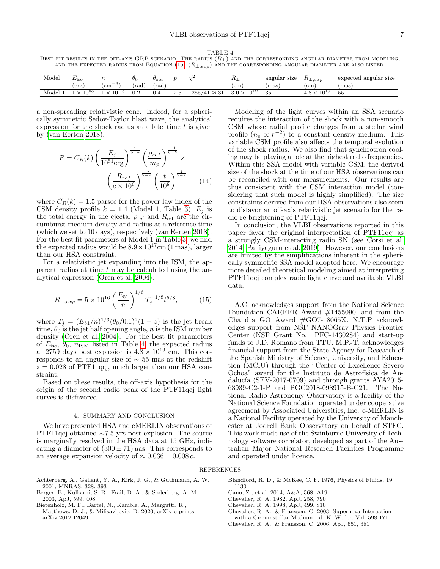TABLE 4

<span id="page-6-9"></span>BEST FIT RESULTS IN THE OFF-AXIS GRB SCENARIO. THE RADIUS  $(R_{\perp})$  and the corresponding angular diameter from modeling, AND THE EXPECTED RADIUS FROM EQUATION [\(15\)](#page-6-11)  $(R_{\perp,exp})$  and the corresponding angular diameter are also listed.

| Model | $E_{\rm ISO}$ |                |              | $v_{\rm obs}$ | $\sim$ |                                        |                          | angular<br>size | $\perp$ .exp<br>. . | angular size<br>expected |
|-------|---------------|----------------|--------------|---------------|--------|----------------------------------------|--------------------------|-----------------|---------------------|--------------------------|
|       | 'erg,         | $\rm (cm^{-3}$ | rad          | rad           |        |                                        | (cm                      | mas)            | $\rm cm$            | mas)                     |
| Model | ഥാ<br>$\sim$  | $10-x$         | $_{\rm 0.2}$ | U.4           | 2.5    | 1285<br>$\mathbf{p}$<br>$\sim$<br>∴~ວ⊥ | -1019<br>$\Omega$<br>ں ر | 35              | 101<br>◡            | $ -$<br>-55              |

a non-spreading relativistic cone. Indeed, for a spherically symmetric Sedov-Taylor blast wave, the analytical expression for the shock radius at a late–time  $t$  is given by [\(van Eerten 2018\)](#page-7-34):

$$
R = C_R(k) \left(\frac{E_j}{10^{51} \text{erg}}\right)^{\frac{1}{5-k}} \left(\frac{\rho_{ref}}{m_p}\right)^{\frac{-1}{5-k}} \times \left(\frac{R_{ref}}{c \times 10^6}\right)^{\frac{-k}{5-k}} \left(\frac{t}{10^8}\right)^{\frac{2}{5-k}}
$$
(14)

where  $C_R(k) = 1.5$  parsec for the power law index of the CSM density profile  $k = 1.4$  (Model 1, Table [3\)](#page-3-1),  $E_j$  is the total energy in the ejecta,  $\rho_{ref}$  and  $R_{ref}$  are the circumburst medium density and radius at a reference time (which we set to 10 days), respectively [\(van Eerten 2018\)](#page-7-34). For the best fit parameters of Model 1 in Table [3,](#page-3-1) we find the expected radius would be  $8.9 \times 10^{17}$ cm (1 mas), larger than our HSA constraint.

For a relativistic jet expanding into the ISM, the apparent radius at time  $t$  may be calculated using the analytical expression [\(Oren et al. 2004\)](#page-7-35):

$$
R_{\perp,exp} = 5 \times 10^{16} \left(\frac{E_{51}}{n}\right)^{1/6} T_j^{-1/8} t^{5/8},\tag{15}
$$

where  $T_j = (E_{51}/n)^{1/3} (\theta_0/0.1)^2 (1+z)$  is the jet break time,  $\theta_0$  is the jet half opening angle, n is the ISM number density [\(Oren et al. 2004\)](#page-7-35). For the best fit parameters of  $E_{\text{iso}}$ ,  $\theta_0$ ,  $n_{\text{ISM}}$  listed in Table [4,](#page-6-9) the expected radius at 2759 days post explosion is  $4.8 \times 10^{19}$  cm. This corresponds to an angular size of ∼ 55 mas at the redshift  $z = 0.028$  of PTF11qcj, much larger than our HSA constraint.

Based on these results, the off-axis hypothesis for the origin of the second radio peak of the PTF11qcj light curves is disfavored.

#### 4. SUMMARY AND CONCLUSION

<span id="page-6-4"></span>We have presented HSA and eMERLIN observations of PTF11qcj obtained ∼7.5 yrs post explosion. The source is marginally resolved in the HSA data at 15 GHz, indicating a diameter of  $(300 \pm 71)$   $\mu$ as. This corresponds to an average expansion velocity of  $\approx 0.036 \pm 0.008 c$ .

Modeling of the light curves within an SSA scenario requires the interaction of the shock with a non-smooth CSM whose radial profile changes from a stellar wind profile  $(n_e \propto r^{-2})$  to a constant density medium. This variable CSM profile also affects the temporal evolution of the shock radius. We also find that synchrotron cooling may be playing a role at the highest radio frequencies. Within this SSA model with variable CSM, the derived size of the shock at the time of our HSA observations can be reconciled with our measurements. Our results are thus consistent with the CSM interaction model (considering that such model is highly simplified). The size constraints derived from our HSA observations also seem to disfavor an off-axis relativistic jet scenario for the radio re-brightening of PTF11qcj.

In conclusion, the VLBI observations reported in this paper favor the original interpretation of PTF11qcj as a strongly CSM-interacting radio SN (see [Corsi et al.](#page-7-13) [2014;](#page-7-13) [Palliyaguru et al. 2019\)](#page-7-14). However, our conclusions are limited by the simplifications inherent in the spherically symmetric SSA model adopted here. We encourage more detailed theoretical modeling aimed at interpreting PTF11qcj complex radio light curve and available VLBI data.

<span id="page-6-11"></span>A.C. acknowledges support from the National Science Foundation CAREER Award #1455090, and from the Chandra GO Award #GO7-18065X. N.T.P acknowledges support from NSF NANOGrav Physics Frontier Center (NSF Grant No. PFC-1430284) and start-up funds to J.D. Romano from TTU. M.P.-T. acknowledges financial support from the State Agency for Research of the Spanish Ministry of Science, University, and Education (MCIU) through the "Center of Excellence Severo Ochoa" award for the Instituto de Astrofísica de Andalucía (SEV-2017-0709) and through grants AYA2015-63939-C2-1-P and PGC2018-098915-B-C21. The National Radio Astronomy Observatory is a facility of the National Science Foundation operated under cooperative agreement by Associated Universities, Inc. e-MERLIN is a National Facility operated by the University of Manchester at Jodrell Bank Observatory on behalf of STFC. This work made use of the Swinburne University of Technology software correlator, developed as part of the Australian Major National Research Facilities Programme and operated under licence.

#### REFERENCES

- <span id="page-6-10"></span>Achterberg, A., Gallant, Y. A., Kirk, J. G., & Guthmann, A. W. 2001, MNRAS, 328, 393
- <span id="page-6-1"></span>Berger, E., Kulkarni, S. R., Frail, D. A., & Soderberg, A. M. 2003, ApJ, 599, 408
- <span id="page-6-7"></span>Bietenholz, M. F., Bartel, N., Kamble, A., Margutti, R., Matthews, D. J., & Milisavljevic, D. 2020, arXiv e-prints, arXiv:2012.12049
- <span id="page-6-8"></span>Blandford, R. D., & McKee, C. F. 1976, Physics of Fluids, 19, 1130
- <span id="page-6-0"></span>Cano, Z., et al. 2014, A&A, 568, A19
- <span id="page-6-5"></span>Chevalier, R. A. 1982, ApJ, 258, 790
- <span id="page-6-2"></span>Chevalier, R. A. 1998, ApJ, 499, 810
- <span id="page-6-6"></span><span id="page-6-3"></span>Chevalier, R. A., & Fransson, C. 2003, Supernova Interaction with a Circumstellar Medium, ed. K. Weiler, Vol. 598 171 Chevalier, R. A., & Fransson, C. 2006, ApJ, 651, 381